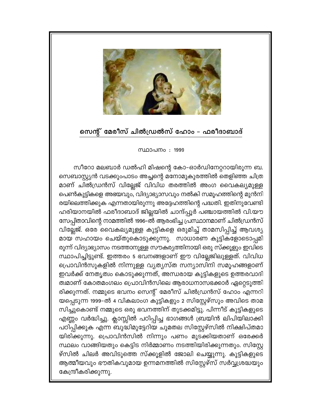

## സെന്റ് മേരീസ് ചിൽഡ്രൽസ് ഹോം – ഫരീദാബാദ്

സ്ഥാപനം: 1999

സീറോ മലബാർ ഡൽഹി മിഷന്റെ കോ-ഓർഡിനേറ്ററായിരുന്ന ബ. സെബാസ്റ്റ്യൻ വടക്കുംപാടം അച്ചന്റെ മനോമുകുരത്തിൽ തെളിഞ്ഞ ചിത്ര മാണ് ചിൽഡ്രൻസ് വില്ലേജ് വിവിധ തരത്തിൽ അംഗ വൈകല്യമുള്ള പെൺകുട്ടികളെ അഭയവും, വിദ്യാഭ്യാസവും നൽകി സമൂഹത്തിന്റെ മുൻനി രയിലെത്തിക്കുക എന്നതായിരുന്നു അദ്ദേഹത്തിന്റെ പദ്ധതി. ഇതിനുവേണ്ടി ഹരിയാനയിൽ ഫരീദാബാദ് ജില്ലയിൽ ചാന്ദ്പ്പൂർ പഞ്ചായത്തിൽ വി.യൗ സേപ്പിതാവിന്റെ നാമത്തിൽ 1996–ൽ ആരംഭിച്ച പ്രസ്ഥാനമാണ് ചിൽഡ്രൻസ് വില്ലേജ്. ഒരേ വൈകല്യമുള്ള കുട്ടികളെ ഒരുമിച്ച് താമസിപ്പിച്ച് ആവശ്യ മായ സഹായം ചെയ്തുകൊടുക്കുന്നു. സാധാരണ കുട്ടികളോടൊപ്പമി രുന്ന് വിദ്യാഭ്യാസം നടത്താനുള്ള സൗകര്യത്തിനായി ഒരു സ്ക്കൂളും ഇവിടെ സ്ഥാപിച്ചിട്ടുണ്ട്. ഇത്തരം 5 ഭവനങ്ങളാണ് ഈ വില്ലേജിലുള്ളത്. വിവിധ പ്രൊവിൻസുകളിൽ നിന്നുള്ള വ്യത്യസ്ത സന്യാസിനി സമൂഹങ്ങളാണ് ഇവർക്ക് നേതൃത്വം കൊടുക്കുന്നത്, അന്ധരായ കുട്ടികളുടെ ഉത്തരവാദി ത്വമാണ് കോതമംഗലം പ്രൊവിൻസിലെ ആരാധനാസഭക്കാർ ഏറ്റെടുത്തി രിക്കുന്നത്. നമ്മുടെ ഭവനം സെന്റ് മേരീസ് ചിൽഡ്രൻസ് ഹോം എന്നറി യപ്പെടുന്ന 1999-ൽ 4 വികലാംഗ കുട്ടികളും 2 സിസ്റ്റേഴ്സും അവിടെ താമ സിച്ചുകൊണ്ട് നമ്മുടെ ഒരു ഭവനത്തിന് തുടക്കമിട്ടു. പിന്നീട് കുട്ടികളുടെ എണ്ണം വർദ്ധിച്ചു. ക്ലാസ്സിൽ പഠിപ്പിച്ച ഭാഗങ്ങൾ ബ്രയിൻ ലിപിയിലാക്കി പഠിപ്പിക്കുക എന്ന ബുദ്ധിമുട്ടേറിയ ചുമതല സിസ്റ്റേഴ്സിൽ നിക്ഷിപ്തമാ യിരിക്കുന്നു. പ്രൊവിൻസിൽ നിന്നും പണം മുടക്കിയതാണ് ഒരേക്കർ സ്ഥലം വാങ്ങിയതും കെട്ടിട നിർമ്മാണം നടത്തിയിരിക്കുന്നതും. സിസ്റ്റേ ഴ്സിൽ ചിലർ അവിടുത്തെ സ്ക്കൂളിൽ ജോലി ചെയ്യുന്നു. കുട്ടികളുടെ ആത്മീയവും ഭൗതികവുമായ ഉന്നമനത്തിൽ സിസ്റ്റേഴ്സ് സർവ്വശ്രദ്ധയും കേന്ദ്രീകരിക്കുന്നു.